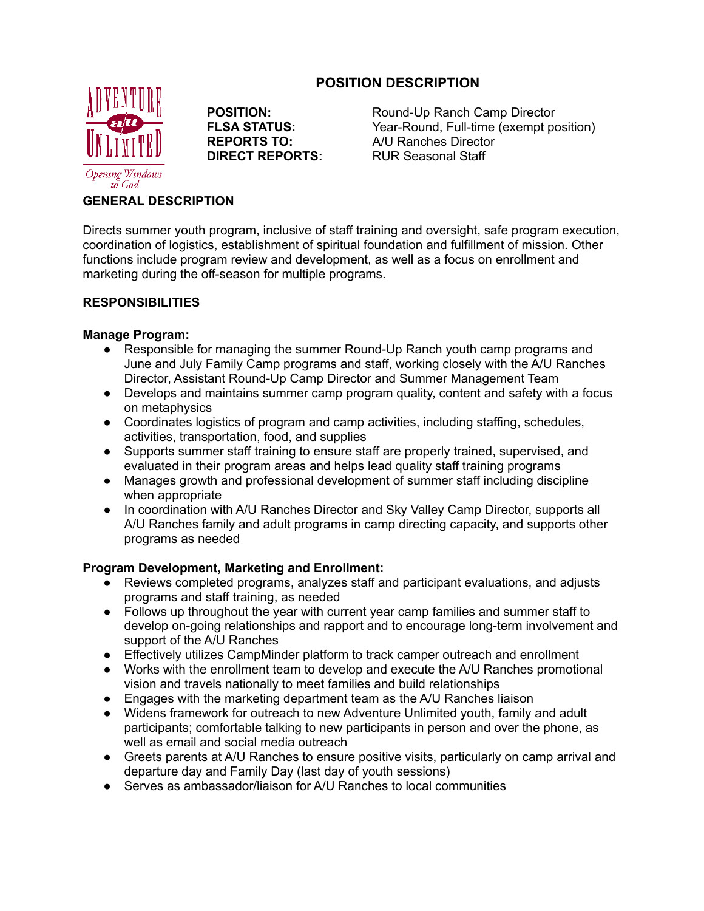# **POSITION DESCRIPTION**



**POSITION:**<br> **POSITION:**<br>
Year-Round. Full-time (exempt position) Year-Round, Full-time (exempt position) **REPORTS TO:** A/U Ranches Director **DIRECT REPORTS:** RUR Seasonal Staff

## **GENERAL DESCRIPTION**

Directs summer youth program, inclusive of staff training and oversight, safe program execution, coordination of logistics, establishment of spiritual foundation and fulfillment of mission. Other functions include program review and development, as well as a focus on enrollment and marketing during the off-season for multiple programs.

## **RESPONSIBILITIES**

## **Manage Program:**

- Responsible for managing the summer Round-Up Ranch youth camp programs and June and July Family Camp programs and staff, working closely with the A/U Ranches Director, Assistant Round-Up Camp Director and Summer Management Team
- Develops and maintains summer camp program quality, content and safety with a focus on metaphysics
- Coordinates logistics of program and camp activities, including staffing, schedules, activities, transportation, food, and supplies
- Supports summer staff training to ensure staff are properly trained, supervised, and evaluated in their program areas and helps lead quality staff training programs
- Manages growth and professional development of summer staff including discipline when appropriate
- In coordination with A/U Ranches Director and Sky Valley Camp Director, supports all A/U Ranches family and adult programs in camp directing capacity, and supports other programs as needed

## **Program Development, Marketing and Enrollment:**

- Reviews completed programs, analyzes staff and participant evaluations, and adjusts programs and staff training, as needed
- Follows up throughout the year with current year camp families and summer staff to develop on-going relationships and rapport and to encourage long-term involvement and support of the A/U Ranches
- Effectively utilizes CampMinder platform to track camper outreach and enrollment
- Works with the enrollment team to develop and execute the A/U Ranches promotional vision and travels nationally to meet families and build relationships
- Engages with the marketing department team as the A/U Ranches liaison
- Widens framework for outreach to new Adventure Unlimited youth, family and adult participants; comfortable talking to new participants in person and over the phone, as well as email and social media outreach
- Greets parents at A/U Ranches to ensure positive visits, particularly on camp arrival and departure day and Family Day (last day of youth sessions)
- Serves as ambassador/liaison for A/U Ranches to local communities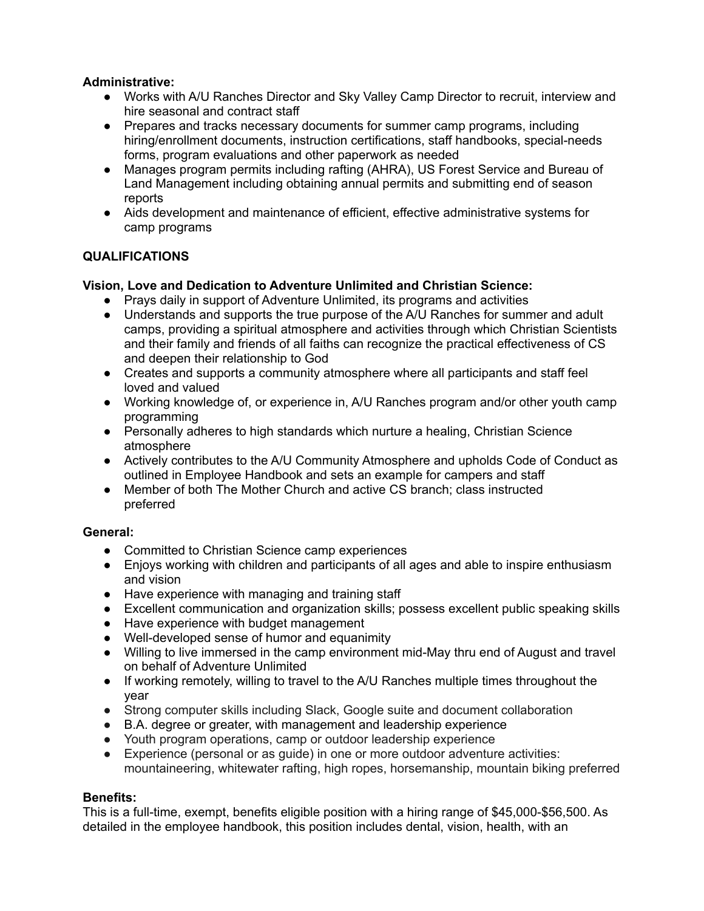## **Administrative:**

- Works with A/U Ranches Director and Sky Valley Camp Director to recruit, interview and hire seasonal and contract staff
- Prepares and tracks necessary documents for summer camp programs, including hiring/enrollment documents, instruction certifications, staff handbooks, special-needs forms, program evaluations and other paperwork as needed
- Manages program permits including rafting (AHRA), US Forest Service and Bureau of Land Management including obtaining annual permits and submitting end of season reports
- Aids development and maintenance of efficient, effective administrative systems for camp programs

## **QUALIFICATIONS**

## **Vision, Love and Dedication to Adventure Unlimited and Christian Science:**

- Prays daily in support of Adventure Unlimited, its programs and activities
- Understands and supports the true purpose of the A/U Ranches for summer and adult camps, providing a spiritual atmosphere and activities through which Christian Scientists and their family and friends of all faiths can recognize the practical effectiveness of CS and deepen their relationship to God
- Creates and supports a community atmosphere where all participants and staff feel loved and valued
- Working knowledge of, or experience in, A/U Ranches program and/or other youth camp programming
- Personally adheres to high standards which nurture a healing, Christian Science atmosphere
- Actively contributes to the A/U Community Atmosphere and upholds Code of Conduct as outlined in Employee Handbook and sets an example for campers and staff
- Member of both The Mother Church and active CS branch; class instructed preferred

## **General:**

- Committed to Christian Science camp experiences
- Enjoys working with children and participants of all ages and able to inspire enthusiasm and vision
- Have experience with managing and training staff
- Excellent communication and organization skills; possess excellent public speaking skills
- Have experience with budget management
- Well-developed sense of humor and equanimity
- Willing to live immersed in the camp environment mid-May thru end of August and travel on behalf of Adventure Unlimited
- If working remotely, willing to travel to the A/U Ranches multiple times throughout the year
- Strong computer skills including Slack, Google suite and document collaboration
- B.A. degree or greater, with management and leadership experience
- Youth program operations, camp or outdoor leadership experience
- Experience (personal or as guide) in one or more outdoor adventure activities: mountaineering, whitewater rafting, high ropes, horsemanship, mountain biking preferred

## **Benefits:**

This is a full-time, exempt, benefits eligible position with a hiring range of \$45,000-\$56,500. As detailed in the employee handbook, this position includes dental, vision, health, with an